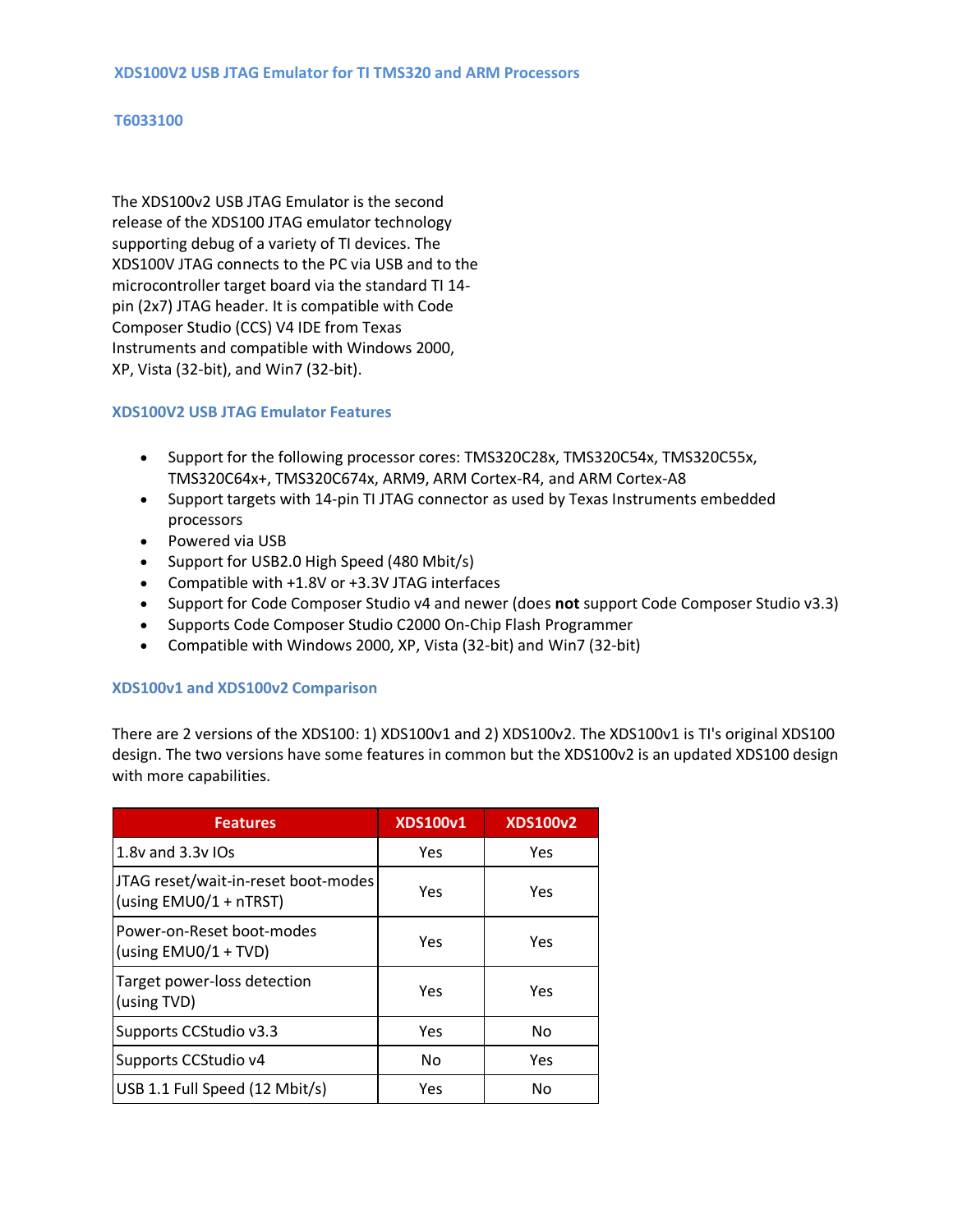## **T6033100**

The XDS100v2 USB JTAG Emulator is the second release of the XDS100 JTAG emulator technology supporting debug of a variety of TI devices. The XDS100V JTAG connects to the PC via USB and to the microcontroller target board via the standard TI 14 pin (2x7) JTAG header. It is compatible with Code Composer Studio (CCS) V4 IDE from Texas Instruments and compatible with Windows 2000, XP, Vista (32-bit), and Win7 (32-bit).

## **XDS100V2 USB JTAG Emulator Features**

- Support for the following processor cores: TMS320C28x, TMS320C54x, TMS320C55x, TMS320C64x+, TMS320C674x, ARM9, ARM Cortex-R4, and ARM Cortex-A8
- Support targets with 14-pin TI JTAG connector as used by Texas Instruments embedded processors
- Powered via USB
- Support for USB2.0 High Speed (480 Mbit/s)
- Compatible with +1.8V or +3.3V JTAG interfaces
- Support for Code Composer Studio v4 and newer (does **not** support Code Composer Studio v3.3)
- Supports Code Composer Studio C2000 On-Chip Flash Programmer
- Compatible with Windows 2000, XP, Vista (32-bit) and Win7 (32-bit)

## **XDS100v1 and XDS100v2 Comparison**

There are 2 versions of the XDS100: 1) XDS100v1 and 2) XDS100v2. The XDS100v1 is TI's original XDS100 design. The two versions have some features in common but the XDS100v2 is an updated XDS100 design with more capabilities.

| <b>Features</b>                                               | <b>XDS100v1</b> | <b>XDS100v2</b> |
|---------------------------------------------------------------|-----------------|-----------------|
| 1.8y and 3.3y IOs                                             | Yes             | Yes             |
| JTAG reset/wait-in-reset boot-modes<br>(using EMU0/1 + nTRST) | Yes             | Yes             |
| Power-on-Reset boot-modes<br>(using EMU0/1 + TVD)             | Yes             | Yes             |
| Target power-loss detection<br>(using TVD)                    | Yes             | Yes             |
| Supports CCStudio v3.3                                        | Yes             | No              |
| Supports CCStudio v4                                          | No              | Yes             |
| USB 1.1 Full Speed (12 Mbit/s)                                | Yes             | Nο              |